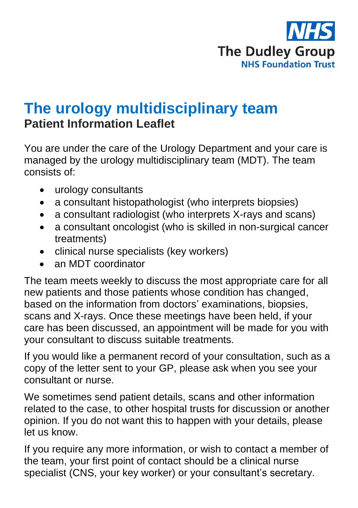

## **The urology multidisciplinary team Patient Information Leaflet**

You are under the care of the Urology Department and your care is managed by the urology multidisciplinary team (MDT). The team consists of:

- urology consultants
- a consultant histopathologist (who interprets biopsies)
- a consultant radiologist (who interprets X-rays and scans)
- a consultant oncologist (who is skilled in non-surgical cancer treatments)
- clinical nurse specialists (key workers)
- an MDT coordinator

The team meets weekly to discuss the most appropriate care for all new patients and those patients whose condition has changed, based on the information from doctors' examinations, biopsies, scans and X-rays. Once these meetings have been held, if your care has been discussed, an appointment will be made for you with your consultant to discuss suitable treatments.

If you would like a permanent record of your consultation, such as a copy of the letter sent to your GP, please ask when you see your consultant or nurse.

We sometimes send patient details, scans and other information related to the case, to other hospital trusts for discussion or another opinion. If you do not want this to happen with your details, please let us know.

If you require any more information, or wish to contact a member of the team, your first point of contact should be a clinical nurse specialist (CNS, your key worker) or your consultant's secretary.